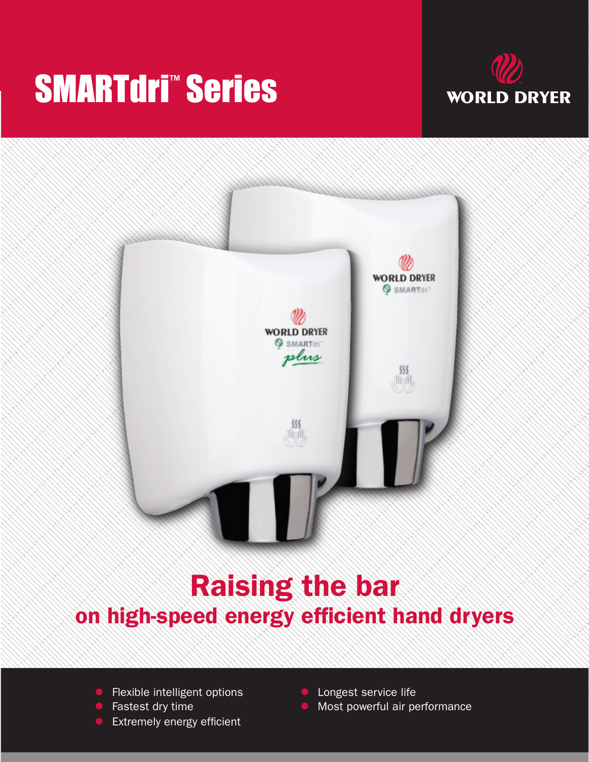# SMARTdri™ Series





## Raising the bar on high-speed energy efficient hand dryers

- $\bullet$  Flexible intelligent options
- Fastest dry time
- Extremely energy efficient
- $\bullet$  Longest service life
- Most powerful air performance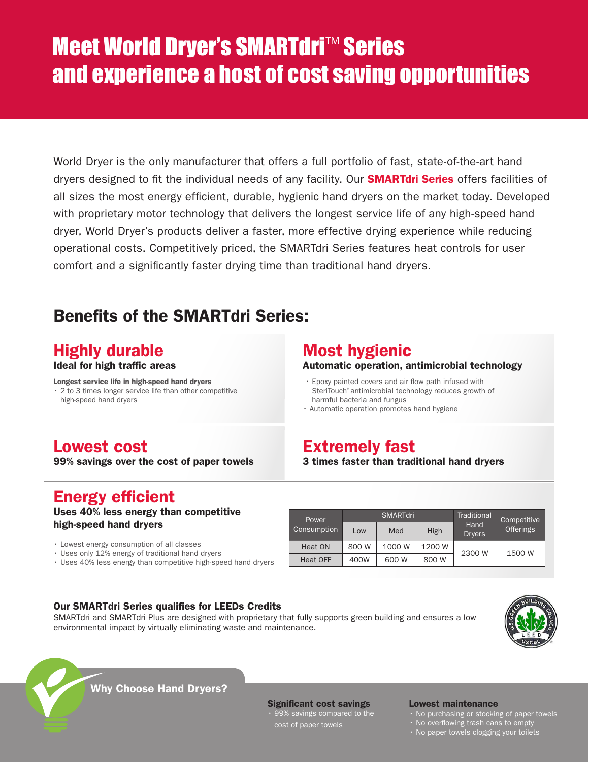## **Meet World Dryer's SMARTdri™ Series** and experience a host of cost saving opportunities

World Dryer is the only manufacturer that offers a full portfolio of fast, state-of-the-art hand dryers designed to fit the individual needs of any facility. Our **SMARTdri Series** offers facilities of all sizes the most energy efficient, durable, hygienic hand dryers on the market today. Developed with proprietary motor technology that delivers the longest service life of any high-speed hand dryer, World Dryer's products deliver a faster, more effective drying experience while reducing operational costs. Competitively priced, the SMARTdri Series features heat controls for user comfort and a significantly faster drying time than traditional hand dryers.

### Benefits of the SMARTdri Series:

### Highly durable

#### Ideal for high traffic areas

Longest service life in high-speed hand dryers

• 2 to 3 times longer service life than other competitive high-speed hand dryers

### Most hygienic

#### Automatic operation, antimicrobial technology

- Epoxy painted covers and air flow path infused with SteriTouch® antimicrobial technology reduces growth of harmful bacteria and fungus
- Automatic operation promotes hand hygiene

### Lowest cost

99% savings over the cost of paper towels

### Extremely fast

3 times faster than traditional hand dryers

### Energy efficient

Uses 40% less energy than competitive high-speed hand dryers

- Lowest energy consumption of all classes
- Uses only 12% energy of traditional hand dryers
- Uses 40% less energy than competitive high-speed hand dryers

| Power<br>Consumption | SMARTdri <sup>'</sup> |        |        | <b>Traditional</b>    | Competitive |
|----------------------|-----------------------|--------|--------|-----------------------|-------------|
|                      | Low                   | Med    | High   | Hand<br><b>Dryers</b> | Offerings   |
| Heat ON              | 800 W                 | 1000 W | 1200 W |                       | 1500 W      |
| Heat OFF             | 400W                  | 600 W  | 800 W  |                       |             |
|                      |                       |        |        | 2300 W                |             |

### Our SMARTdri Series qualifies for LEEDs Credits

SMARTdri and SMARTdri Plus are designed with proprietary that fully supports green building and ensures a low environmental impact by virtually eliminating waste and maintenance.





Why Choose Hand Dryers?

Significant cost savings • 99% savings compared to the cost of paper towels

#### Lowest maintenance

• No purchasing or stocking of paper towels

• No overflowing trash cans to empty • No paper towels clogging your toilets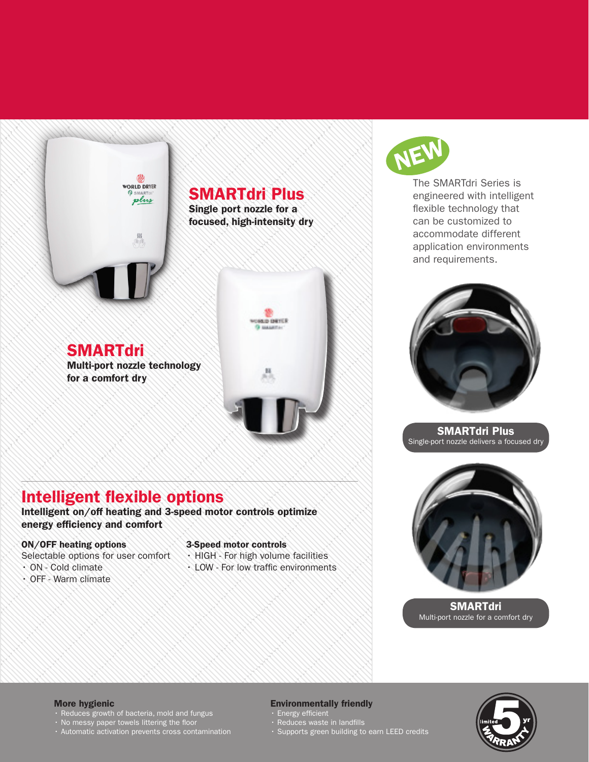

### SMARTdri Plus

Single port nozzle for a focused, high-intensity dry

**SMARTdri** Multi-port nozzle technology for a comfort dry



### Intelligent flexible options

Intelligent on/off heating and 3-speed motor controls optimize energy efficiency and comfort

### ON/OFF heating options

Selectable options for user comfort • ON - Cold climate

• OFF - Warm climate

### 3-Speed motor controls

- HIGH For high volume facilities
- LOW For low traffic environments



The SMARTdri Series is engineered with intelligent flexible technology that can be customized to accommodate different application environments and requirements.



SMARTdri Plus Single-port nozzle delivers a focused dry



**SMARTdri** Multi-port nozzle for a comfort dry

#### More hygienic

- Reduces growth of bacteria, mold and fungus
- No messy paper towels littering the floor
- 

### Environmentally friendly

- Energy efficient
- Reduces waste in landfills
- Supports green building to earn LEED credits